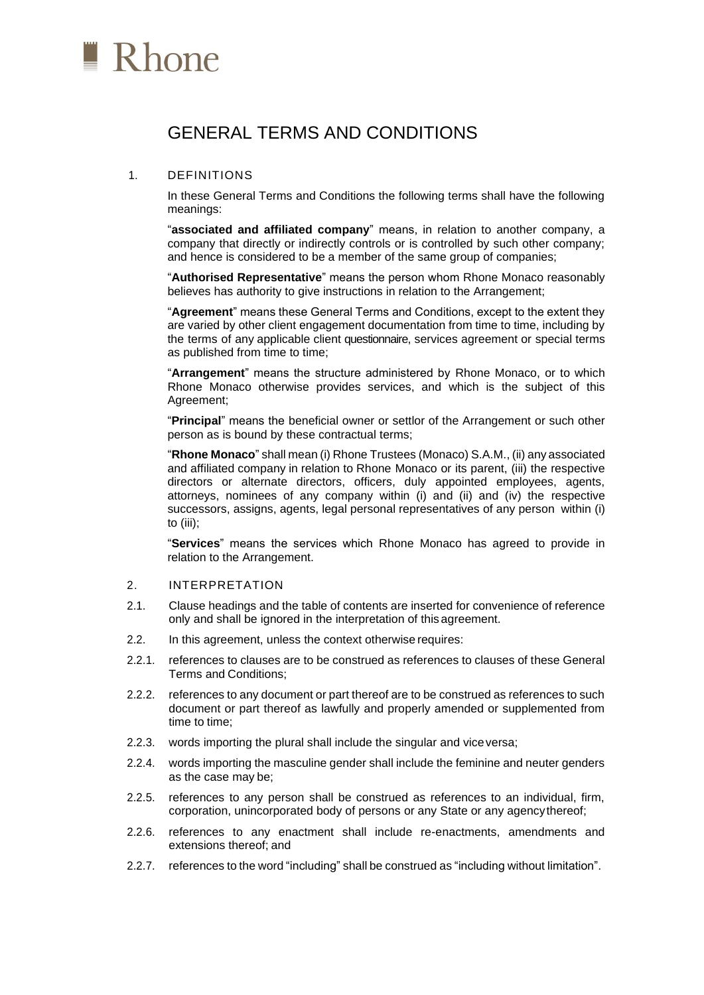

# GENERAL TERMS AND CONDITIONS

## 1. DEFINITIONS

In these General Terms and Conditions the following terms shall have the following meanings:

"**associated and affiliated company**" means, in relation to another company, a company that directly or indirectly controls or is controlled by such other company; and hence is considered to be a member of the same group of companies;

"**Authorised Representative**" means the person whom Rhone Monaco reasonably believes has authority to give instructions in relation to the Arrangement;

"**Agreement**" means these General Terms and Conditions, except to the extent they are varied by other client engagement documentation from time to time, including by the terms of any applicable client questionnaire, services agreement or special terms as published from time to time;

"**Arrangement**" means the structure administered by Rhone Monaco, or to which Rhone Monaco otherwise provides services, and which is the subject of this Agreement;

"**Principal**" means the beneficial owner or settlor of the Arrangement or such other person as is bound by these contractual terms;

"**Rhone Monaco**" shall mean (i) Rhone Trustees (Monaco) S.A.M., (ii) any associated and affiliated company in relation to Rhone Monaco or its parent, (iii) the respective directors or alternate directors, officers, duly appointed employees, agents, attorneys, nominees of any company within (i) and (ii) and (iv) the respective successors, assigns, agents, legal personal representatives of any person within (i) to (iii);

"**Services**" means the services which Rhone Monaco has agreed to provide in relation to the Arrangement.

#### 2. INTERPRETATION

- 2.1. Clause headings and the table of contents are inserted for convenience of reference only and shall be ignored in the interpretation of this agreement.
- 2.2. In this agreement, unless the context otherwise requires:
- 2.2.1. references to clauses are to be construed as references to clauses of these General Terms and Conditions;
- 2.2.2. references to any document or part thereof are to be construed as references to such document or part thereof as lawfully and properly amended or supplemented from time to time;
- 2.2.3. words importing the plural shall include the singular and viceversa;
- 2.2.4. words importing the masculine gender shall include the feminine and neuter genders as the case may be;
- 2.2.5. references to any person shall be construed as references to an individual, firm, corporation, unincorporated body of persons or any State or any agencythereof;
- 2.2.6. references to any enactment shall include re-enactments, amendments and extensions thereof; and
- 2.2.7. references to the word "including" shall be construed as "including without limitation".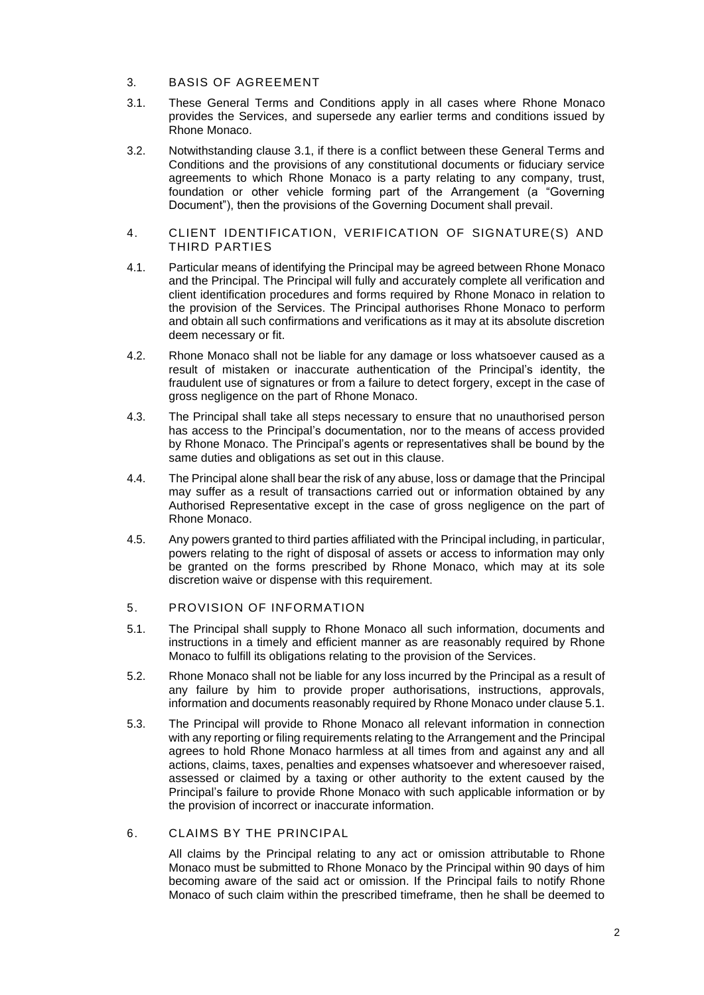- 3. BASIS OF AGREEMENT
- 3.1. These General Terms and Conditions apply in all cases where Rhone Monaco provides the Services, and supersede any earlier terms and conditions issued by Rhone Monaco.
- 3.2. Notwithstanding clause 3.1, if there is a conflict between these General Terms and Conditions and the provisions of any constitutional documents or fiduciary service agreements to which Rhone Monaco is a party relating to any company, trust, foundation or other vehicle forming part of the Arrangement (a "Governing Document"), then the provisions of the Governing Document shall prevail.
- 4. CLIENT IDENTIFICATION, VERIFICATION OF SIGNATURE(S) AND THIRD PARTIES
- 4.1. Particular means of identifying the Principal may be agreed between Rhone Monaco and the Principal. The Principal will fully and accurately complete all verification and client identification procedures and forms required by Rhone Monaco in relation to the provision of the Services. The Principal authorises Rhone Monaco to perform and obtain all such confirmations and verifications as it may at its absolute discretion deem necessary or fit.
- 4.2. Rhone Monaco shall not be liable for any damage or loss whatsoever caused as a result of mistaken or inaccurate authentication of the Principal's identity, the fraudulent use of signatures or from a failure to detect forgery, except in the case of gross negligence on the part of Rhone Monaco.
- 4.3. The Principal shall take all steps necessary to ensure that no unauthorised person has access to the Principal's documentation, nor to the means of access provided by Rhone Monaco. The Principal's agents or representatives shall be bound by the same duties and obligations as set out in this clause.
- 4.4. The Principal alone shall bear the risk of any abuse, loss or damage that the Principal may suffer as a result of transactions carried out or information obtained by any Authorised Representative except in the case of gross negligence on the part of Rhone Monaco.
- 4.5. Any powers granted to third parties affiliated with the Principal including, in particular, powers relating to the right of disposal of assets or access to information may only be granted on the forms prescribed by Rhone Monaco, which may at its sole discretion waive or dispense with this requirement.

# 5. PROVISION OF INFORMATION

- 5.1. The Principal shall supply to Rhone Monaco all such information, documents and instructions in a timely and efficient manner as are reasonably required by Rhone Monaco to fulfill its obligations relating to the provision of the Services.
- 5.2. Rhone Monaco shall not be liable for any loss incurred by the Principal as a result of any failure by him to provide proper authorisations, instructions, approvals, information and documents reasonably required by Rhone Monaco under clause 5.1.
- 5.3. The Principal will provide to Rhone Monaco all relevant information in connection with any reporting or filing requirements relating to the Arrangement and the Principal agrees to hold Rhone Monaco harmless at all times from and against any and all actions, claims, taxes, penalties and expenses whatsoever and wheresoever raised, assessed or claimed by a taxing or other authority to the extent caused by the Principal's failure to provide Rhone Monaco with such applicable information or by the provision of incorrect or inaccurate information.
- 6. CLAIMS BY THE PRINCIPAL

All claims by the Principal relating to any act or omission attributable to Rhone Monaco must be submitted to Rhone Monaco by the Principal within 90 days of him becoming aware of the said act or omission. If the Principal fails to notify Rhone Monaco of such claim within the prescribed timeframe, then he shall be deemed to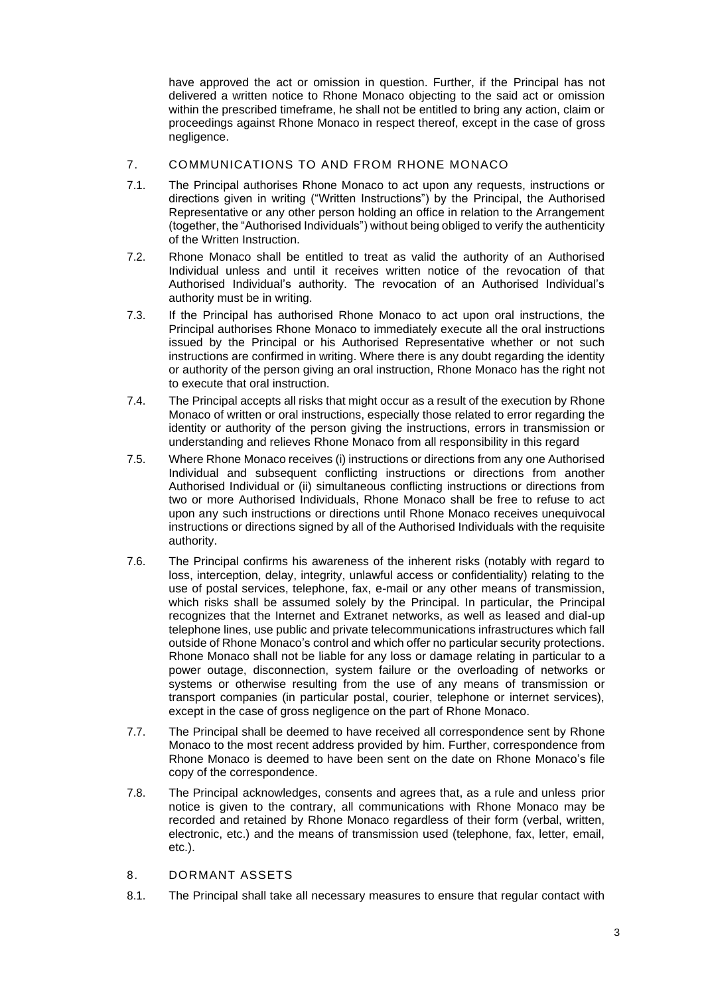have approved the act or omission in question. Further, if the Principal has not delivered a written notice to Rhone Monaco objecting to the said act or omission within the prescribed timeframe, he shall not be entitled to bring any action, claim or proceedings against Rhone Monaco in respect thereof, except in the case of gross negligence.

# 7. COMMUNICATIONS TO AND FROM RHONE MONACO

- 7.1. The Principal authorises Rhone Monaco to act upon any requests, instructions or directions given in writing ("Written Instructions") by the Principal, the Authorised Representative or any other person holding an office in relation to the Arrangement (together, the "Authorised Individuals") without being obliged to verify the authenticity of the Written Instruction.
- 7.2. Rhone Monaco shall be entitled to treat as valid the authority of an Authorised Individual unless and until it receives written notice of the revocation of that Authorised Individual's authority. The revocation of an Authorised Individual's authority must be in writing.
- 7.3. If the Principal has authorised Rhone Monaco to act upon oral instructions, the Principal authorises Rhone Monaco to immediately execute all the oral instructions issued by the Principal or his Authorised Representative whether or not such instructions are confirmed in writing. Where there is any doubt regarding the identity or authority of the person giving an oral instruction, Rhone Monaco has the right not to execute that oral instruction.
- 7.4. The Principal accepts all risks that might occur as a result of the execution by Rhone Monaco of written or oral instructions, especially those related to error regarding the identity or authority of the person giving the instructions, errors in transmission or understanding and relieves Rhone Monaco from all responsibility in this regard
- 7.5. Where Rhone Monaco receives (i) instructions or directions from any one Authorised Individual and subsequent conflicting instructions or directions from another Authorised Individual or (ii) simultaneous conflicting instructions or directions from two or more Authorised Individuals, Rhone Monaco shall be free to refuse to act upon any such instructions or directions until Rhone Monaco receives unequivocal instructions or directions signed by all of the Authorised Individuals with the requisite authority.
- 7.6. The Principal confirms his awareness of the inherent risks (notably with regard to loss, interception, delay, integrity, unlawful access or confidentiality) relating to the use of postal services, telephone, fax, e-mail or any other means of transmission, which risks shall be assumed solely by the Principal. In particular, the Principal recognizes that the Internet and Extranet networks, as well as leased and dial-up telephone lines, use public and private telecommunications infrastructures which fall outside of Rhone Monaco's control and which offer no particular security protections. Rhone Monaco shall not be liable for any loss or damage relating in particular to a power outage, disconnection, system failure or the overloading of networks or systems or otherwise resulting from the use of any means of transmission or transport companies (in particular postal, courier, telephone or internet services), except in the case of gross negligence on the part of Rhone Monaco.
- 7.7. The Principal shall be deemed to have received all correspondence sent by Rhone Monaco to the most recent address provided by him. Further, correspondence from Rhone Monaco is deemed to have been sent on the date on Rhone Monaco's file copy of the correspondence.
- 7.8. The Principal acknowledges, consents and agrees that, as a rule and unless prior notice is given to the contrary, all communications with Rhone Monaco may be recorded and retained by Rhone Monaco regardless of their form (verbal, written, electronic, etc.) and the means of transmission used (telephone, fax, letter, email, etc.).
- 8. DORMANT ASSETS
- 8.1. The Principal shall take all necessary measures to ensure that regular contact with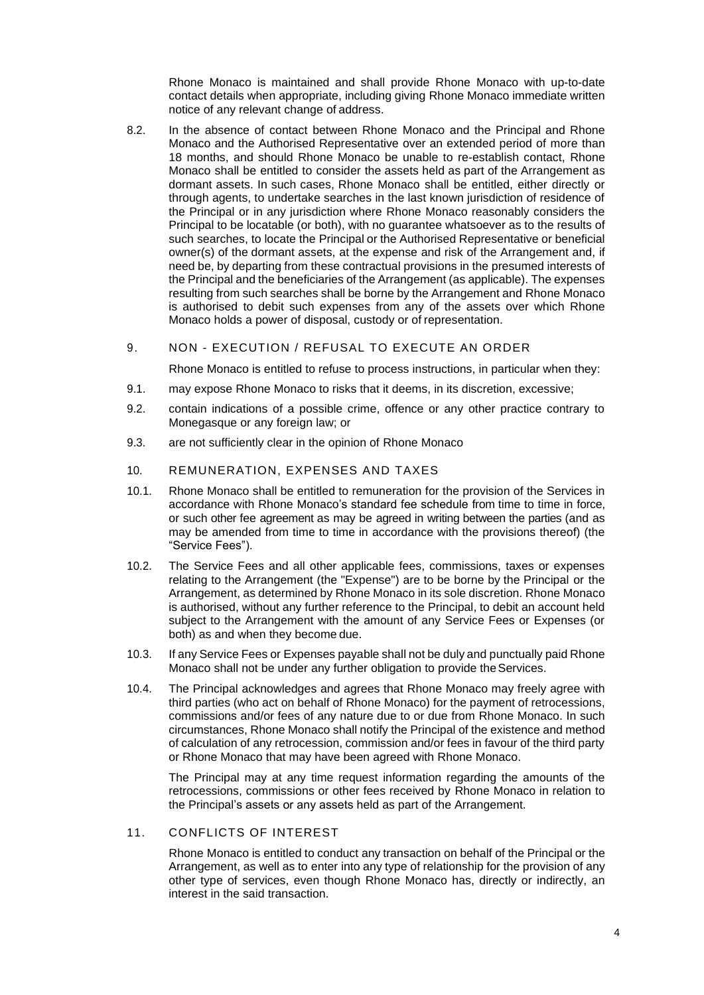Rhone Monaco is maintained and shall provide Rhone Monaco with up-to-date contact details when appropriate, including giving Rhone Monaco immediate written notice of any relevant change of address.

8.2. In the absence of contact between Rhone Monaco and the Principal and Rhone Monaco and the Authorised Representative over an extended period of more than 18 months, and should Rhone Monaco be unable to re-establish contact, Rhone Monaco shall be entitled to consider the assets held as part of the Arrangement as dormant assets. In such cases, Rhone Monaco shall be entitled, either directly or through agents, to undertake searches in the last known jurisdiction of residence of the Principal or in any jurisdiction where Rhone Monaco reasonably considers the Principal to be locatable (or both), with no guarantee whatsoever as to the results of such searches, to locate the Principal or the Authorised Representative or beneficial owner(s) of the dormant assets, at the expense and risk of the Arrangement and, if need be, by departing from these contractual provisions in the presumed interests of the Principal and the beneficiaries of the Arrangement (as applicable). The expenses resulting from such searches shall be borne by the Arrangement and Rhone Monaco is authorised to debit such expenses from any of the assets over which Rhone Monaco holds a power of disposal, custody or of representation.

# 9. NON - EXECUTION / REFUSAL TO EXECUTE AN ORDER

Rhone Monaco is entitled to refuse to process instructions, in particular when they:

- 9.1. may expose Rhone Monaco to risks that it deems, in its discretion, excessive;
- 9.2. contain indications of a possible crime, offence or any other practice contrary to Monegasque or any foreign law; or
- 9.3. are not sufficiently clear in the opinion of Rhone Monaco
- 10. REMUNERATION, EXPENSES AND TAXES
- 10.1. Rhone Monaco shall be entitled to remuneration for the provision of the Services in accordance with Rhone Monaco's standard fee schedule from time to time in force, or such other fee agreement as may be agreed in writing between the parties (and as may be amended from time to time in accordance with the provisions thereof) (the "Service Fees").
- 10.2. The Service Fees and all other applicable fees, commissions, taxes or expenses relating to the Arrangement (the "Expense") are to be borne by the Principal or the Arrangement, as determined by Rhone Monaco in its sole discretion. Rhone Monaco is authorised, without any further reference to the Principal, to debit an account held subject to the Arrangement with the amount of any Service Fees or Expenses (or both) as and when they become due.
- 10.3. If any Service Fees or Expenses payable shall not be duly and punctually paid Rhone Monaco shall not be under any further obligation to provide the Services.
- 10.4. The Principal acknowledges and agrees that Rhone Monaco may freely agree with third parties (who act on behalf of Rhone Monaco) for the payment of retrocessions, commissions and/or fees of any nature due to or due from Rhone Monaco. In such circumstances, Rhone Monaco shall notify the Principal of the existence and method of calculation of any retrocession, commission and/or fees in favour of the third party or Rhone Monaco that may have been agreed with Rhone Monaco.

The Principal may at any time request information regarding the amounts of the retrocessions, commissions or other fees received by Rhone Monaco in relation to the Principal's assets or any assets held as part of the Arrangement.

11. CONFLICTS OF INTEREST

Rhone Monaco is entitled to conduct any transaction on behalf of the Principal or the Arrangement, as well as to enter into any type of relationship for the provision of any other type of services, even though Rhone Monaco has, directly or indirectly, an interest in the said transaction.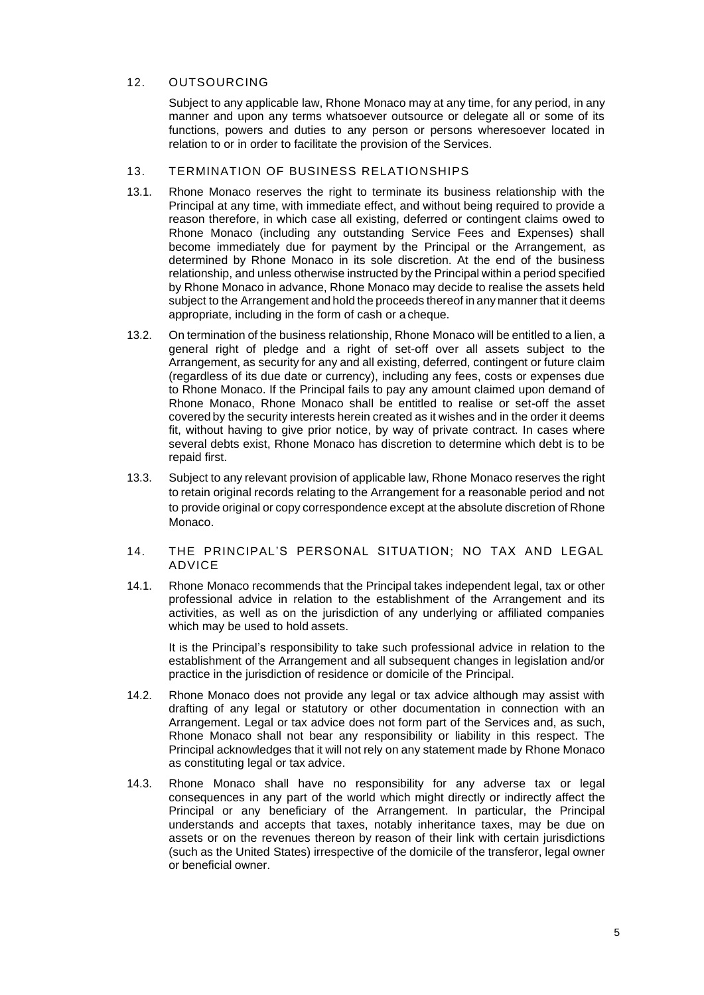# 12. OUTSOURCING

Subject to any applicable law, Rhone Monaco may at any time, for any period, in any manner and upon any terms whatsoever outsource or delegate all or some of its functions, powers and duties to any person or persons wheresoever located in relation to or in order to facilitate the provision of the Services.

### 13. TERMINATION OF BUSINESS RELATIONSHIPS

- 13.1. Rhone Monaco reserves the right to terminate its business relationship with the Principal at any time, with immediate effect, and without being required to provide a reason therefore, in which case all existing, deferred or contingent claims owed to Rhone Monaco (including any outstanding Service Fees and Expenses) shall become immediately due for payment by the Principal or the Arrangement, as determined by Rhone Monaco in its sole discretion. At the end of the business relationship, and unless otherwise instructed by the Principal within a period specified by Rhone Monaco in advance, Rhone Monaco may decide to realise the assets held subject to the Arrangement and hold the proceeds thereof in any manner that it deems appropriate, including in the form of cash or a cheque.
- 13.2. On termination of the business relationship, Rhone Monaco will be entitled to a lien, a general right of pledge and a right of set-off over all assets subject to the Arrangement, as security for any and all existing, deferred, contingent or future claim (regardless of its due date or currency), including any fees, costs or expenses due to Rhone Monaco. If the Principal fails to pay any amount claimed upon demand of Rhone Monaco, Rhone Monaco shall be entitled to realise or set-off the asset covered by the security interests herein created as it wishes and in the order it deems fit, without having to give prior notice, by way of private contract. In cases where several debts exist, Rhone Monaco has discretion to determine which debt is to be repaid first.
- 13.3. Subject to any relevant provision of applicable law, Rhone Monaco reserves the right to retain original records relating to the Arrangement for a reasonable period and not to provide original or copy correspondence except at the absolute discretion of Rhone Monaco.
- 14. THE PRINCIPAL'S PERSONAL SITUATION; NO TAX AND LEGAL ADVICE
- 14.1. Rhone Monaco recommends that the Principal takes independent legal, tax or other professional advice in relation to the establishment of the Arrangement and its activities, as well as on the jurisdiction of any underlying or affiliated companies which may be used to hold assets.

It is the Principal's responsibility to take such professional advice in relation to the establishment of the Arrangement and all subsequent changes in legislation and/or practice in the jurisdiction of residence or domicile of the Principal.

- 14.2. Rhone Monaco does not provide any legal or tax advice although may assist with drafting of any legal or statutory or other documentation in connection with an Arrangement. Legal or tax advice does not form part of the Services and, as such, Rhone Monaco shall not bear any responsibility or liability in this respect. The Principal acknowledges that it will not rely on any statement made by Rhone Monaco as constituting legal or tax advice.
- 14.3. Rhone Monaco shall have no responsibility for any adverse tax or legal consequences in any part of the world which might directly or indirectly affect the Principal or any beneficiary of the Arrangement. In particular, the Principal understands and accepts that taxes, notably inheritance taxes, may be due on assets or on the revenues thereon by reason of their link with certain jurisdictions (such as the United States) irrespective of the domicile of the transferor, legal owner or beneficial owner.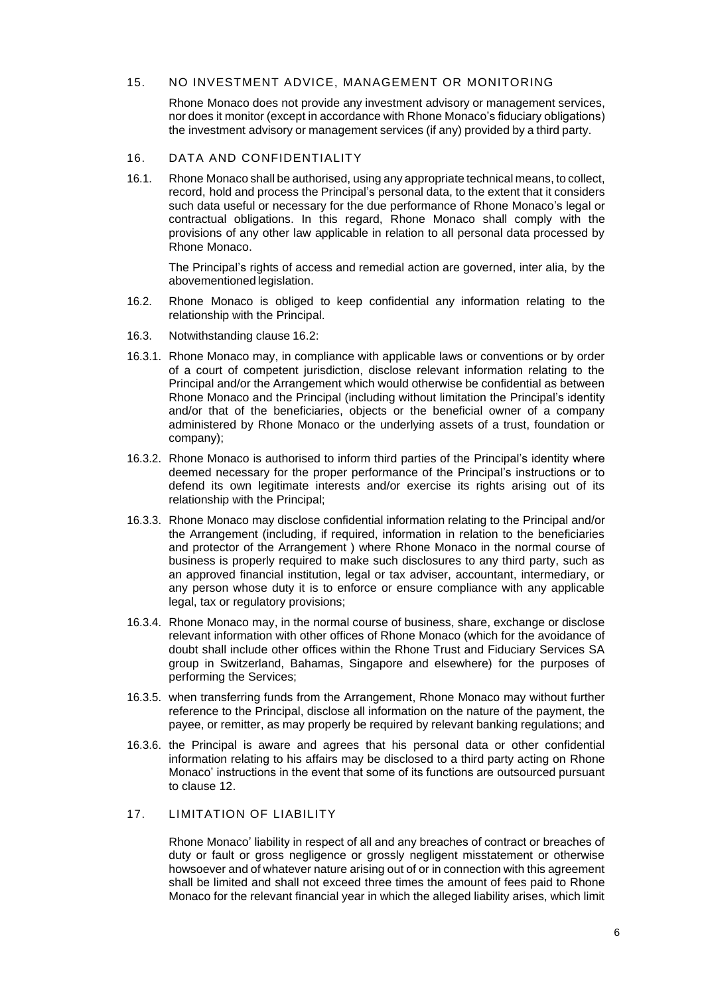#### 15. NO INVESTMENT ADVICE, MANAGEMENT OR MONITORING

Rhone Monaco does not provide any investment advisory or management services, nor does it monitor (except in accordance with Rhone Monaco's fiduciary obligations) the investment advisory or management services (if any) provided by a third party.

#### 16. DATA AND CONFIDENTIALITY

16.1. Rhone Monaco shall be authorised, using any appropriate technical means, to collect, record, hold and process the Principal's personal data, to the extent that it considers such data useful or necessary for the due performance of Rhone Monaco's legal or contractual obligations. In this regard, Rhone Monaco shall comply with the provisions of any other law applicable in relation to all personal data processed by Rhone Monaco.

The Principal's rights of access and remedial action are governed, inter alia, by the abovementioned legislation.

- 16.2. Rhone Monaco is obliged to keep confidential any information relating to the relationship with the Principal.
- 16.3. Notwithstanding clause 16.2:
- 16.3.1. Rhone Monaco may, in compliance with applicable laws or conventions or by order of a court of competent jurisdiction, disclose relevant information relating to the Principal and/or the Arrangement which would otherwise be confidential as between Rhone Monaco and the Principal (including without limitation the Principal's identity and/or that of the beneficiaries, objects or the beneficial owner of a company administered by Rhone Monaco or the underlying assets of a trust, foundation or company);
- 16.3.2. Rhone Monaco is authorised to inform third parties of the Principal's identity where deemed necessary for the proper performance of the Principal's instructions or to defend its own legitimate interests and/or exercise its rights arising out of its relationship with the Principal;
- 16.3.3. Rhone Monaco may disclose confidential information relating to the Principal and/or the Arrangement (including, if required, information in relation to the beneficiaries and protector of the Arrangement ) where Rhone Monaco in the normal course of business is properly required to make such disclosures to any third party, such as an approved financial institution, legal or tax adviser, accountant, intermediary, or any person whose duty it is to enforce or ensure compliance with any applicable legal, tax or regulatory provisions;
- 16.3.4. Rhone Monaco may, in the normal course of business, share, exchange or disclose relevant information with other offices of Rhone Monaco (which for the avoidance of doubt shall include other offices within the Rhone Trust and Fiduciary Services SA group in Switzerland, Bahamas, Singapore and elsewhere) for the purposes of performing the Services;
- 16.3.5. when transferring funds from the Arrangement, Rhone Monaco may without further reference to the Principal, disclose all information on the nature of the payment, the payee, or remitter, as may properly be required by relevant banking regulations; and
- 16.3.6. the Principal is aware and agrees that his personal data or other confidential information relating to his affairs may be disclosed to a third party acting on Rhone Monaco' instructions in the event that some of its functions are outsourced pursuant to clause 12.

# 17. LIMITATION OF LIABILITY

Rhone Monaco' liability in respect of all and any breaches of contract or breaches of duty or fault or gross negligence or grossly negligent misstatement or otherwise howsoever and of whatever nature arising out of or in connection with this agreement shall be limited and shall not exceed three times the amount of fees paid to Rhone Monaco for the relevant financial year in which the alleged liability arises, which limit